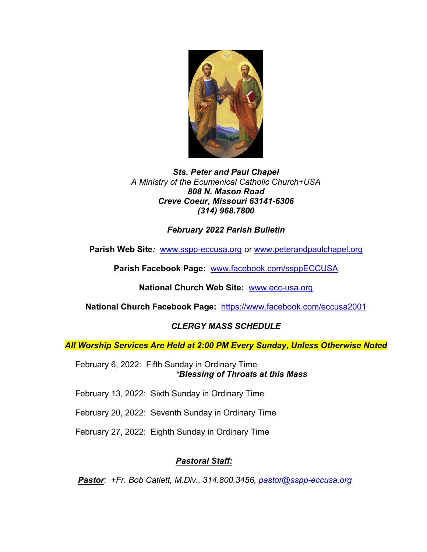

#### *Sts. Peter and Paul Chapel A Ministry of the Ecumenical Catholic Church+USA 808 N. Mason Road Creve Coeur, Missouri 63141-6306 (314) 968.7800*

# *February 2022 Parish Bulletin*

**Parish Web Site***:* [www.sspp-eccusa.org](http://www.sspp-eccusa.org/) or [www.peterandpaulchapel.org](http://www.peterandpaulchapel.org/)

**Parish Facebook Page:** [www.facebook.com/ssppECCUSA](http://www.facebook.com/ssppECCUSA)

**National Church Web Site:** [www.ecc-usa.org](http://www.ecc-usa.org/)

**National Church Facebook Page:** <https://www.facebook.com/eccusa2001>

# *CLERGY MASS SCHEDULE*

*All Worship Services Are Held at 2:00 PM Every Sunday, Unless Otherwise Noted*

February 6, 2022: Fifth Sunday in Ordinary Time *\*Blessing of Throats at this Mass*

February 13, 2022: Sixth Sunday in Ordinary Time

February 20, 2022: Seventh Sunday in Ordinary Time

February 27, 2022: Eighth Sunday in Ordinary Time

# *Pastoral Staff:*

*Pastor: +Fr. Bob Catlett, M.Div., 314.800.3456, [pastor@sspp-eccusa.org](mailto:pastor@sspp-eccusa.org)*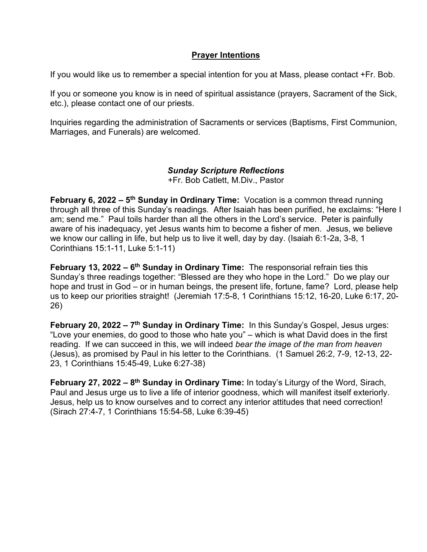#### **Prayer Intentions**

If you would like us to remember a special intention for you at Mass, please contact +Fr. Bob.

If you or someone you know is in need of spiritual assistance (prayers, Sacrament of the Sick, etc.), please contact one of our priests.

Inquiries regarding the administration of Sacraments or services (Baptisms, First Communion, Marriages, and Funerals) are welcomed.

### *Sunday Scripture Reflections*

+Fr. Bob Catlett, M.Div., Pastor

**February 6, 2022 – 5th Sunday in Ordinary Time:** Vocation is a common thread running through all three of this Sunday's readings. After Isaiah has been purified, he exclaims: "Here I am; send me." Paul toils harder than all the others in the Lord's service. Peter is painfully aware of his inadequacy, yet Jesus wants him to become a fisher of men. Jesus, we believe we know our calling in life, but help us to live it well, day by day. (Isaiah 6:1-2a, 3-8, 1 Corinthians 15:1-11, Luke 5:1-11)

**February 13, 2022 – 6th Sunday in Ordinary Time:** The responsorial refrain ties this Sunday's three readings together: "Blessed are they who hope in the Lord." Do we play our hope and trust in God – or in human beings, the present life, fortune, fame? Lord, please help us to keep our priorities straight! (Jeremiah 17:5-8, 1 Corinthians 15:12, 16-20, Luke 6:17, 20- 26)

**February 20, 2022 – 7th Sunday in Ordinary Time:** In this Sunday's Gospel, Jesus urges: "Love your enemies, do good to those who hate you" – which is what David does in the first reading. If we can succeed in this, we will indeed *bear the image of the man from heaven*  (Jesus), as promised by Paul in his letter to the Corinthians. (1 Samuel 26:2, 7-9, 12-13, 22- 23, 1 Corinthians 15:45-49, Luke 6:27-38)

**February 27, 2022 – 8th Sunday in Ordinary Time:** In today's Liturgy of the Word, Sirach, Paul and Jesus urge us to live a life of interior goodness, which will manifest itself exteriorly. Jesus, help us to know ourselves and to correct any interior attitudes that need correction! (Sirach 27:4-7, 1 Corinthians 15:54-58, Luke 6:39-45)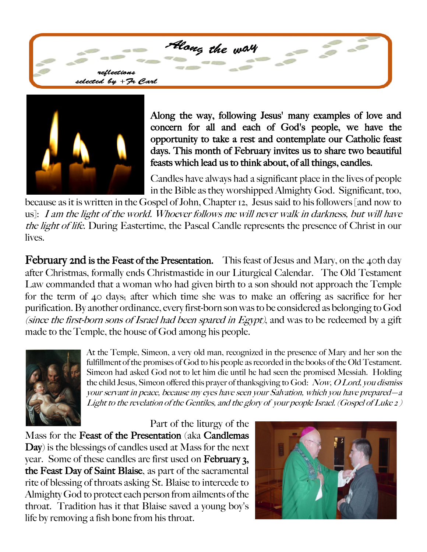Along the way reflections lected by + Fr Carl



Along the way, following Jesus' many examples of love and concern for all and each of God's people, we have the opportunity to take a rest and contemplate our Catholic feast days. This month of February invites us to share two beautiful feasts which lead us to think about, of all things, candles.

Candles have always had a significant place in the lives of people in the Bible as they worshipped Almighty God. Significant, too,

because as it is written in the Gospel of John, Chapter 12, Jesus said to his followers [and now to us]: I am the light of the world. Whoever follows me will never walk in darkness, but will have the light of life. During Eastertime, the Pascal Candle represents the presence of Christ in our lives.

February 2nd is the Feast of the Presentation. This feast of Jesus and Mary, on the 40th day after Christmas, formally ends Christmastide in our Liturgical Calendar. The Old Testament Law commanded that a woman who had given birth to a son should not approach the Temple for the term of 40 days; after which time she was to make an offering as sacrifice for her purification. By another ordinance, every first-born son was to be considered as belonging to God (since the first-born sons of Israel had been spared in  $E$ gypt), and was to be redeemed by a gift made to the Temple, the house of God among his people.



At the Temple, Simeon, a very old man, recognized in the presence of Mary and her son the fulfillment of the promises of God to his people as recorded in the books of the Old Testament. Simeon had asked God not to let him die until he had seen the promised Messiah. Holding the child Jesus, Simeon offered this prayer of thanksgiving to God: Now, O Lord, you dismiss your servant in peace, because my eyes have seen your Salvation, which you have prepared—a Light to the revelation of the Gentiles, and the glory of your people Israel. (Gospel of Luke 2 )

Part of the liturgy of the

Mass for the Feast of the Presentation (aka Candlemas Day) is the blessings of candles used at Mass for the next year. Some of these candles are first used on February 3, the Feast Day of Saint Blaise, as part of the sacramental rite of blessing of throats asking St. Blaise to intercede to Almighty God to protect each person from ailments of the throat. Tradition has it that Blaise saved a young boy's life by removing a fish bone from his throat.